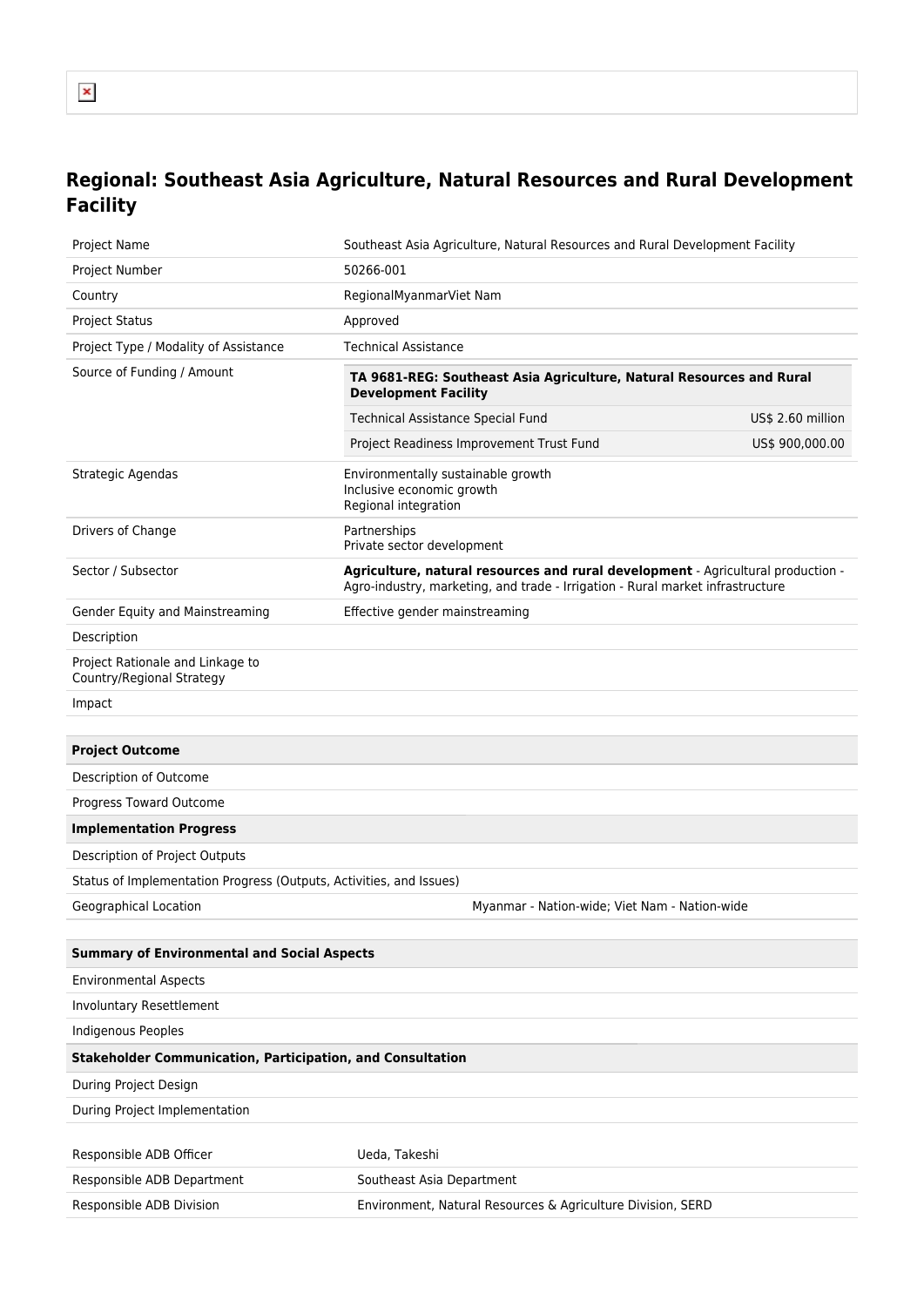## **Regional: Southeast Asia Agriculture, Natural Resources and Rural Development Facility**

| Project Name                                                        | Southeast Asia Agriculture, Natural Resources and Rural Development Facility                                                                                       |                   |
|---------------------------------------------------------------------|--------------------------------------------------------------------------------------------------------------------------------------------------------------------|-------------------|
| Project Number                                                      | 50266-001                                                                                                                                                          |                   |
| Country                                                             | RegionalMyanmarViet Nam                                                                                                                                            |                   |
| <b>Project Status</b>                                               | Approved                                                                                                                                                           |                   |
| Project Type / Modality of Assistance                               | <b>Technical Assistance</b>                                                                                                                                        |                   |
| Source of Funding / Amount                                          | TA 9681-REG: Southeast Asia Agriculture, Natural Resources and Rural<br><b>Development Facility</b>                                                                |                   |
|                                                                     | <b>Technical Assistance Special Fund</b>                                                                                                                           | US\$ 2.60 million |
|                                                                     | Project Readiness Improvement Trust Fund                                                                                                                           | US\$ 900,000.00   |
| Strategic Agendas                                                   | Environmentally sustainable growth<br>Inclusive economic growth<br>Regional integration                                                                            |                   |
| Drivers of Change                                                   | Partnerships<br>Private sector development                                                                                                                         |                   |
| Sector / Subsector                                                  | Agriculture, natural resources and rural development - Agricultural production -<br>Agro-industry, marketing, and trade - Irrigation - Rural market infrastructure |                   |
| Gender Equity and Mainstreaming                                     | Effective gender mainstreaming                                                                                                                                     |                   |
| Description                                                         |                                                                                                                                                                    |                   |
| Project Rationale and Linkage to<br>Country/Regional Strategy       |                                                                                                                                                                    |                   |
| Impact                                                              |                                                                                                                                                                    |                   |
|                                                                     |                                                                                                                                                                    |                   |
| <b>Project Outcome</b>                                              |                                                                                                                                                                    |                   |
| Description of Outcome                                              |                                                                                                                                                                    |                   |
| Progress Toward Outcome                                             |                                                                                                                                                                    |                   |
| <b>Implementation Progress</b>                                      |                                                                                                                                                                    |                   |
| Description of Project Outputs                                      |                                                                                                                                                                    |                   |
| Status of Implementation Progress (Outputs, Activities, and Issues) |                                                                                                                                                                    |                   |
| Geographical Location                                               | Myanmar - Nation-wide; Viet Nam - Nation-wide                                                                                                                      |                   |
|                                                                     |                                                                                                                                                                    |                   |
| <b>Summary of Environmental and Social Aspects</b>                  |                                                                                                                                                                    |                   |
| <b>Environmental Aspects</b>                                        |                                                                                                                                                                    |                   |
| <b>Involuntary Resettlement</b>                                     |                                                                                                                                                                    |                   |
| Indigenous Peoples                                                  |                                                                                                                                                                    |                   |
| <b>Stakeholder Communication, Participation, and Consultation</b>   |                                                                                                                                                                    |                   |
| During Project Design                                               |                                                                                                                                                                    |                   |
| During Project Implementation                                       |                                                                                                                                                                    |                   |
| Responsible ADB Officer                                             | Ueda, Takeshi                                                                                                                                                      |                   |
| Responsible ADB Department                                          | Southeast Asia Department                                                                                                                                          |                   |
| Responsible ADB Division                                            | Environment, Natural Resources & Agriculture Division, SERD                                                                                                        |                   |